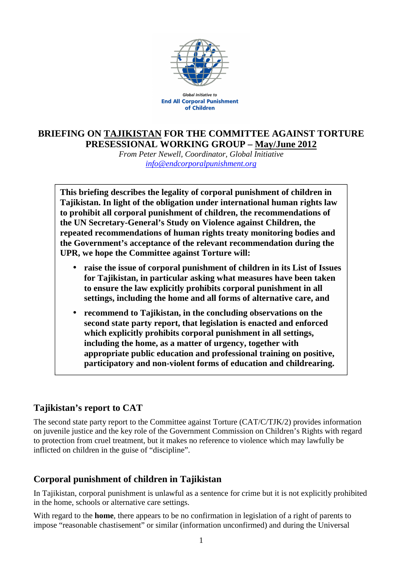

**Global Initiative to End All Corporal Punishment** of Children

## **BRIEFING ON TAJIKISTAN FOR THE COMMITTEE AGAINST TORTURE PRESESSIONAL WORKING GROUP – May/June 2012**

*From Peter Newell, Coordinator, Global Initiative info@endcorporalpunishment.org*

**This briefing describes the legality of corporal punishment of children in Tajikistan. In light of the obligation under international human rights law to prohibit all corporal punishment of children, the recommendations of the UN Secretary-General's Study on Violence against Children, the repeated recommendations of human rights treaty monitoring bodies and the Government's acceptance of the relevant recommendation during the UPR, we hope the Committee against Torture will:** 

- **raise the issue of corporal punishment of children in its List of Issues for Tajikistan, in particular asking what measures have been taken to ensure the law explicitly prohibits corporal punishment in all settings, including the home and all forms of alternative care, and**
- **recommend to Tajikistan, in the concluding observations on the second state party report, that legislation is enacted and enforced which explicitly prohibits corporal punishment in all settings, including the home, as a matter of urgency, together with appropriate public education and professional training on positive, participatory and non-violent forms of education and childrearing.**

## **Tajikistan's report to CAT**

The second state party report to the Committee against Torture (CAT/C/TJK/2) provides information on juvenile justice and the key role of the Government Commission on Children's Rights with regard to protection from cruel treatment, but it makes no reference to violence which may lawfully be inflicted on children in the guise of "discipline".

## **Corporal punishment of children in Tajikistan**

In Tajikistan, corporal punishment is unlawful as a sentence for crime but it is not explicitly prohibited in the home, schools or alternative care settings.

With regard to the **home**, there appears to be no confirmation in legislation of a right of parents to impose "reasonable chastisement" or similar (information unconfirmed) and during the Universal